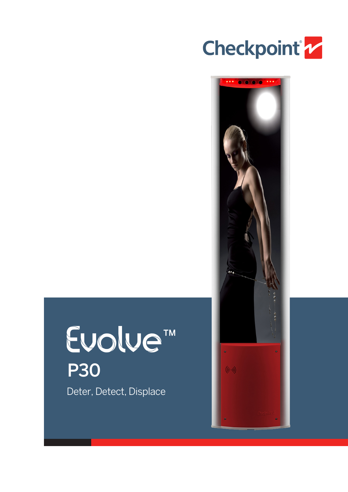



# Evolve<sup>TM</sup> P30Deter, Detect, Displace